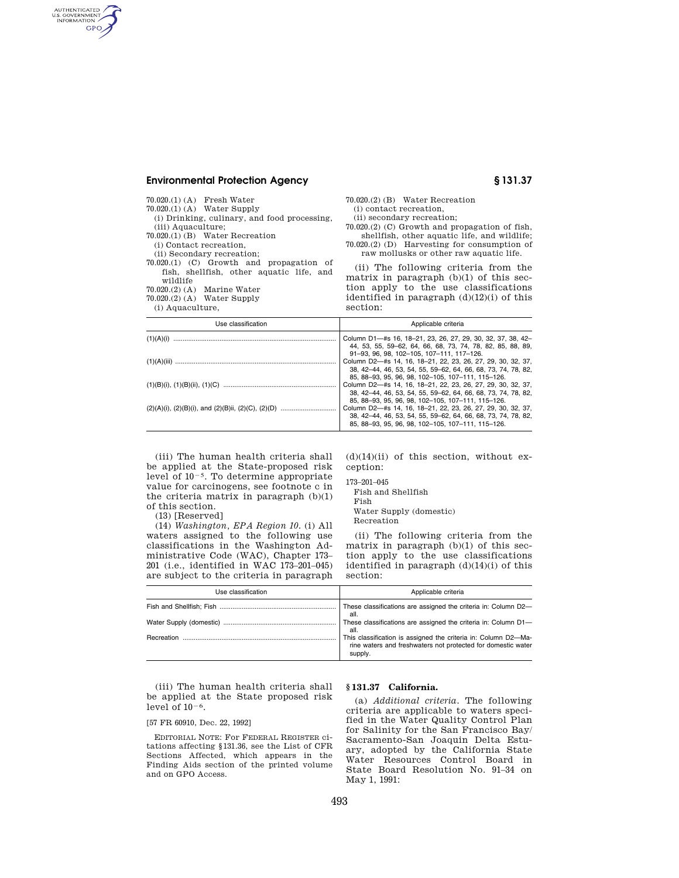# **Environmental Protection Agency § 131.37**

AUTHENTICATED<br>U.S. GOVERNMENT<br>INFORMATION **GPO** 

| 70.020.(1)(A) Fresh Water<br>$70.020(1)$ (A) Water Supply                                             |  |
|-------------------------------------------------------------------------------------------------------|--|
| (i) Drinking, culinary, and food processing.<br>(iii) Aquaculture:<br>70.020.(1) (B) Water Recreation |  |
| (i) Contact recreation.<br>(ii) Secondary recreation:                                                 |  |
| 70.020.(1) (C) Growth and propagation of<br>fish, shellfish, other aquatic life, and                  |  |
| wildlife<br>70.020.(2) (A) Marine Water                                                               |  |
| $70.020(2)$ (A) Water Supply<br>(i) Aquaculture,                                                      |  |
| Use classification                                                                                    |  |

70.020.(2) (B) Water Recreation (i) contact recreation, (ii) secondary recreation; 70.020.(2) (C) Growth and propagation of fish, shellfish, other aquatic life, and wildlife; 70.020.(2) (D) Harvesting for consumption of raw mollusks or other raw aquatic life.

(ii) The following criteria from the matrix in paragraph (b)(1) of this section apply to the use classifications identified in paragraph  $(d)(12)(i)$  of this section:

| Use classification | Applicable criteria                                                                                                                                                                                                                    |  |  |  |
|--------------------|----------------------------------------------------------------------------------------------------------------------------------------------------------------------------------------------------------------------------------------|--|--|--|
| (1)(A)(i)          | Column D1-#s 16, 18-21, 23, 26, 27, 29, 30, 32, 37, 38, 42-<br>44, 53, 55, 59-62, 64, 66, 68, 73, 74, 78, 82, 85, 88, 89,                                                                                                              |  |  |  |
|                    | 91-93, 96, 98, 102-105, 107-111, 117-126,<br>Column D2-#s 14, 16, 18-21, 22, 23, 26, 27, 29, 30, 32, 37,<br>38, 42-44, 46, 53, 54, 55, 59-62, 64, 66, 68, 73, 74, 78, 82,                                                              |  |  |  |
|                    | 85, 88-93, 95, 96, 98, 102-105, 107-111, 115-126,<br>Column D2-#s 14, 16, 18-21, 22, 23, 26, 27, 29, 30, 32, 37,<br>38, 42-44, 46, 53, 54, 55, 59-62, 64, 66, 68, 73, 74, 78, 82,                                                      |  |  |  |
|                    | 85, 88-93, 95, 96, 98, 102-105, 107-111, 115-126,<br>Column D2-#s 14, 16, 18-21, 22, 23, 26, 27, 29, 30, 32, 37,<br>38, 42-44, 46, 53, 54, 55, 59-62, 64, 66, 68, 73, 74, 78, 82,<br>85, 88-93, 95, 96, 98, 102-105, 107-111, 115-126, |  |  |  |

(iii) The human health criteria shall be applied at the State-proposed risk level of  $10^{-5}$ . To determine appropriate value for carcinogens, see footnote c in the criteria matrix in paragraph (b)(1) of this section.

(13) [Reserved]

(14) *Washington, EPA Region 10.* (i) All waters assigned to the following use classifications in the Washington Administrative Code (WAC), Chapter 173– 201 (i.e., identified in WAC 173–201–045) are subject to the criteria in paragraph  $(d)(14)(ii)$  of this section, without exception:

| 173–201–045 |  |
|-------------|--|
|             |  |

- Fish and Shellfish
- Fish
- Water Supply (domestic)
- Recreation

(ii) The following criteria from the matrix in paragraph (b)(1) of this section apply to the use classifications identified in paragraph (d)(14)(i) of this section:

| Use classification | Applicable criteria                                                                                                                       |  |  |  |
|--------------------|-------------------------------------------------------------------------------------------------------------------------------------------|--|--|--|
|                    | These classifications are assigned the criteria in: Column D2-<br>all.                                                                    |  |  |  |
|                    | These classifications are assigned the criteria in: Column D1-<br>all.                                                                    |  |  |  |
| Recreation         | This classification is assigned the criteria in: Column D2-Ma-<br>rine waters and freshwaters not protected for domestic water<br>supply. |  |  |  |

(iii) The human health criteria shall be applied at the State proposed risk level of  $10^{-6}$ .

# [57 FR 60910, Dec. 22, 1992]

EDITORIAL NOTE: For FEDERAL REGISTER citations affecting §131.36, see the List of CFR Sections Affected, which appears in the Finding Aids section of the printed volume and on GPO Access.

## **§ 131.37 California.**

(a) *Additional criteria.* The following criteria are applicable to waters specified in the Water Quality Control Plan for Salinity for the San Francisco Bay/ Sacramento-San Joaquin Delta Estuary, adopted by the California State Water Resources Control Board in State Board Resolution No. 91–34 on May 1, 1991: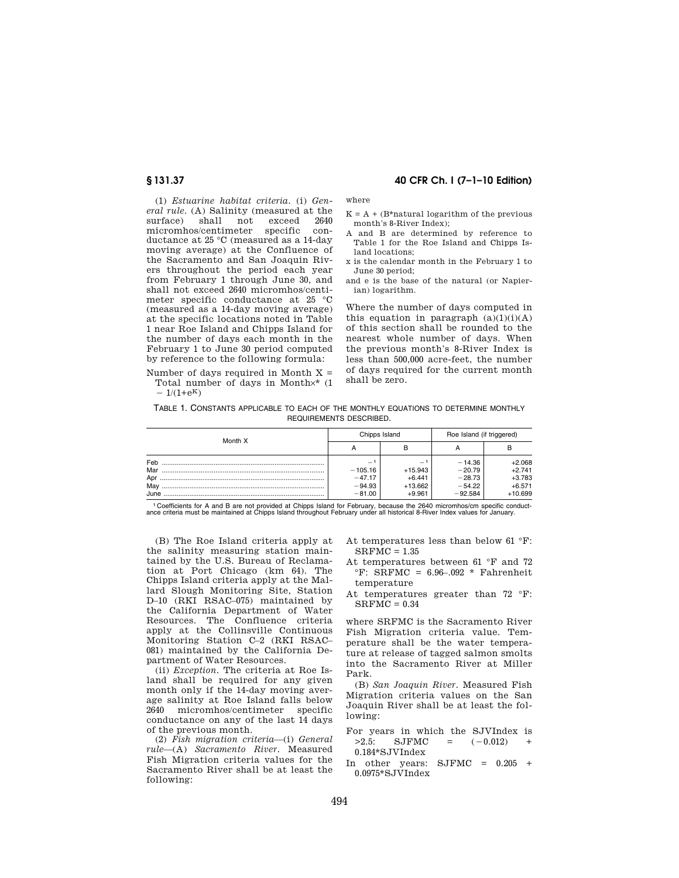# **§ 131.37 40 CFR Ch. I (7–1–10 Edition)**

(1) *Estuarine habitat criteria.* (i) *General rule.* (A) Salinity (measured at the surface) shall not exceed 2640 micromhos/centimeter specific conductance at 25 °C (measured as a 14-day moving average) at the Confluence of the Sacramento and San Joaquin Rivers throughout the period each year from February 1 through June 30, and shall not exceed 2640 micromhos/centimeter specific conductance at 25 °C (measured as a 14-day moving average) at the specific locations noted in Table 1 near Roe Island and Chipps Island for the number of days each month in the February 1 to June 30 period computed by reference to the following formula:

where

- $K = A + (B*natural logarithm of the previous$ month's 8-River Index);
- A and B are determined by reference to Table 1 for the Roe Island and Chipps Island locations;
- x is the calendar month in the February 1 to June 30 period;
- and e is the base of the natural (or Napierian) logarithm.

Where the number of days computed in this equation in paragraph  $(a)(1)(i)(A)$ of this section shall be rounded to the nearest whole number of days. When the previous month's 8-River Index is less than 500,000 acre-feet, the number of days required for the current month shall be zero.

Number of days required in Month  $X =$ Total number of days in Month×\* (1  $-1/(1+e^{K})$ 

TABLE 1. CONSTANTS APPLICABLE TO EACH OF THE MONTHLY EQUATIONS TO DETERMINE MONTHLY REQUIREMENTS DESCRIBED.

| Month X           |                                                   | Chipps Island         | Roe Island (if triggered)        |                                  |
|-------------------|---------------------------------------------------|-----------------------|----------------------------------|----------------------------------|
|                   | А                                                 |                       |                                  |                                  |
| Feb<br>Mar<br>Apr | $\overline{\phantom{0}}$<br>$-105.16$<br>$-47.17$ | $+15.943$<br>$+6.441$ | $-14.36$<br>$-20.79$<br>$-28.73$ | $+2.068$<br>$+2.741$<br>$+3.783$ |
| May<br>June       | $-94.93$<br>$-81.00$                              | $+13.662$<br>$+9.961$ | $-54.22$<br>$-92.584$            | $+6.571$<br>$+10.699$            |

<sup>1</sup> Coefficients for A and B are not provided at Chipps Island for February, because the 2640 micromhos/cm specific conduct-<br>ance criteria must be maintained at Chipps Island throughout February under all historical 8-Rive

(B) The Roe Island criteria apply at the salinity measuring station maintained by the U.S. Bureau of Reclamation at Port Chicago (km 64). The Chipps Island criteria apply at the Mallard Slough Monitoring Site, Station D–10 (RKI RSAC–075) maintained by the California Department of Water Resources. The Confluence criteria apply at the Collinsville Continuous Monitoring Station C–2 (RKI RSAC– 081) maintained by the California Department of Water Resources.

(ii) *Exception.* The criteria at Roe Island shall be required for any given month only if the 14-day moving average salinity at Roe Island falls below 2640 micromhos/centimeter specific conductance on any of the last 14 days of the previous month.

(2) *Fish migration criteria*—(i) *General rule*—(A) *Sacramento River.* Measured Fish Migration criteria values for the Sacramento River shall be at least the following:

At temperatures less than below 61 °F:  $S$ R $F$ M $C = 1.35$ 

- At temperatures between 61 °F and 72  $\textdegree$ F: SRFMC = 6.96-.092 \* Fahrenheit temperature
- At temperatures greater than 72 °F:  $SRFMC = 0.34$

where SRFMC is the Sacramento River Fish Migration criteria value. Temperature shall be the water temperature at release of tagged salmon smolts into the Sacramento River at Miller Park.

(B) *San Joaquin River.* Measured Fish Migration criteria values on the San Joaquin River shall be at least the following:

- For years in which the SJVIndex is  $>2.5$ : SJFMC =  $(-0.012)$  + 0.184\*SJVIndex
- In other years: SJFMC = 0.205 + 0.0975\*SJVIndex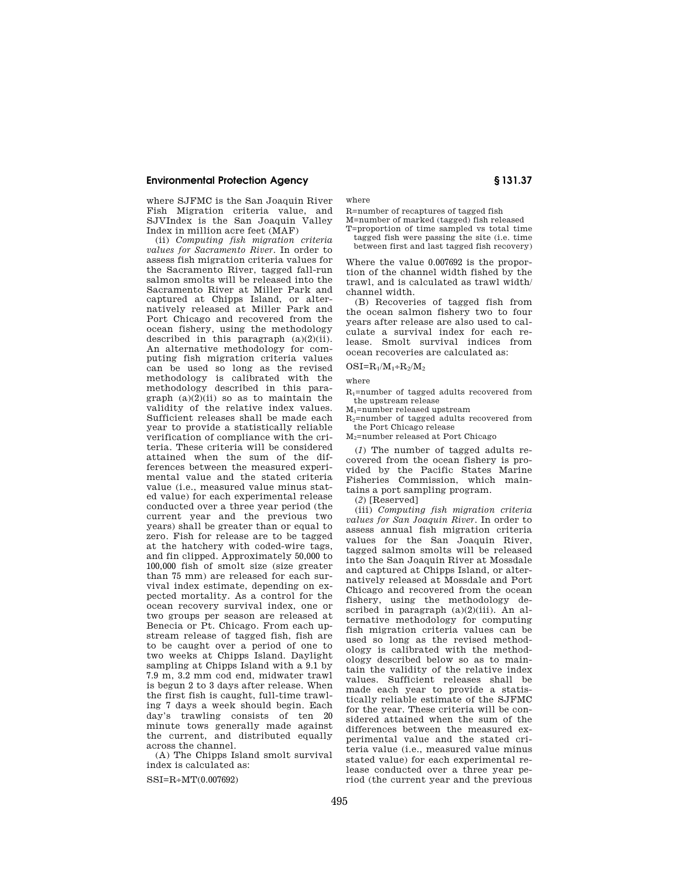# **Environmental Protection Agency § 131.37**

where SJFMC is the San Joaquin River Fish Migration criteria value, and SJVIndex is the San Joaquin Valley Index in million acre feet (MAF)

(ii) *Computing fish migration criteria values for Sacramento River.* In order to assess fish migration criteria values for the Sacramento River, tagged fall-run salmon smolts will be released into the Sacramento River at Miller Park and captured at Chipps Island, or alternatively released at Miller Park and Port Chicago and recovered from the ocean fishery, using the methodology described in this paragraph  $(a)(2)(ii)$ . An alternative methodology for computing fish migration criteria values can be used so long as the revised methodology is calibrated with the methodology described in this para $graph (a)(2)(ii) so as to maintain the$ validity of the relative index values. Sufficient releases shall be made each year to provide a statistically reliable verification of compliance with the criteria. These criteria will be considered attained when the sum of the differences between the measured experimental value and the stated criteria value (i.e., measured value minus stated value) for each experimental release conducted over a three year period (the current year and the previous two years) shall be greater than or equal to zero. Fish for release are to be tagged at the hatchery with coded-wire tags, and fin clipped. Approximately 50,000 to 100,000 fish of smolt size (size greater than 75 mm) are released for each survival index estimate, depending on expected mortality. As a control for the ocean recovery survival index, one or two groups per season are released at Benecia or Pt. Chicago. From each upstream release of tagged fish, fish are to be caught over a period of one to two weeks at Chipps Island. Daylight sampling at Chipps Island with a 9.1 by 7.9 m, 3.2 mm cod end, midwater trawl is begun 2 to 3 days after release. When the first fish is caught, full-time trawling 7 days a week should begin. Each day's trawling consists of ten 20 minute tows generally made against the current, and distributed equally across the channel.

(A) The Chipps Island smolt survival index is calculated as:

 $SSI=R+MT(0.007692)$ 

where

R=number of recaptures of tagged fish

M=number of marked (tagged) fish released T=proportion of time sampled vs total time

tagged fish were passing the site (i.e. time between first and last tagged fish recovery)

Where the value 0.007692 is the proportion of the channel width fished by the trawl, and is calculated as trawl width/ channel width.

(B) Recoveries of tagged fish from the ocean salmon fishery two to four years after release are also used to calculate a survival index for each release. Smolt survival indices from ocean recoveries are calculated as:

# $OSI=R_1/M_1+R_2/M_2$

where

R1=number of tagged adults recovered from the upstream release

M1=number released upstream

R2=number of tagged adults recovered from the Port Chicago release

M2=number released at Port Chicago

(*1*) The number of tagged adults recovered from the ocean fishery is provided by the Pacific States Marine Fisheries Commission, which maintains a port sampling program.

(*2*) [Reserved]

(iii) *Computing fish migration criteria values for San Joaquin River.* In order to assess annual fish migration criteria values for the San Joaquin River, tagged salmon smolts will be released into the San Joaquin River at Mossdale and captured at Chipps Island, or alternatively released at Mossdale and Port Chicago and recovered from the ocean fishery, using the methodology described in paragraph  $(a)(2)(iii)$ . An alternative methodology for computing fish migration criteria values can be used so long as the revised methodology is calibrated with the methodology described below so as to maintain the validity of the relative index values. Sufficient releases shall be made each year to provide a statistically reliable estimate of the SJFMC for the year. These criteria will be considered attained when the sum of the differences between the measured experimental value and the stated criteria value (i.e., measured value minus stated value) for each experimental release conducted over a three year period (the current year and the previous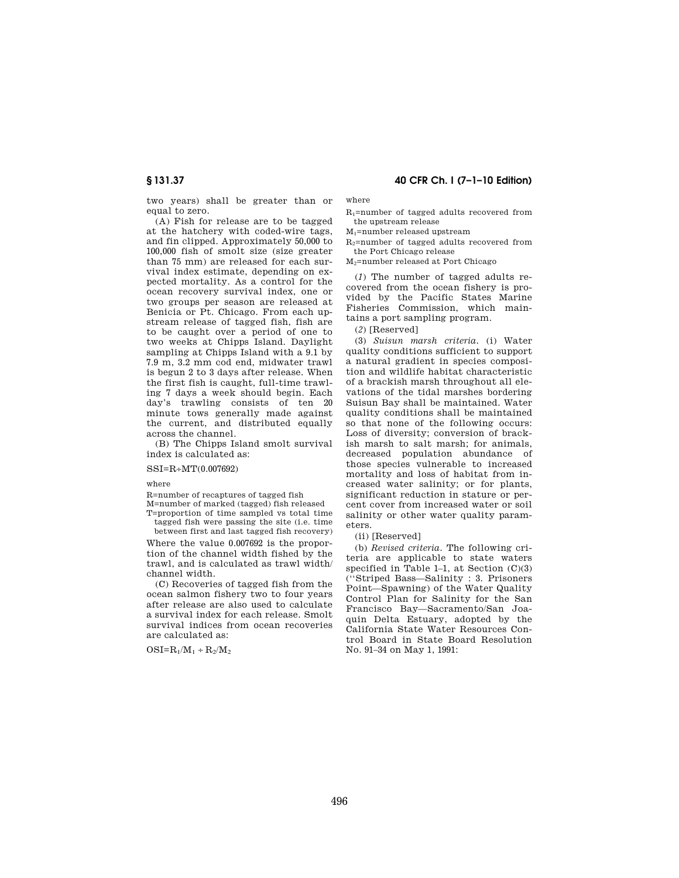two years) shall be greater than or equal to zero.

(A) Fish for release are to be tagged at the hatchery with coded-wire tags, and fin clipped. Approximately 50,000 to 100,000 fish of smolt size (size greater than 75 mm) are released for each survival index estimate, depending on expected mortality. As a control for the ocean recovery survival index, one or two groups per season are released at Benicia or Pt. Chicago. From each upstream release of tagged fish, fish are to be caught over a period of one to two weeks at Chipps Island. Daylight sampling at Chipps Island with a 9.1 by 7.9 m, 3.2 mm cod end, midwater trawl is begun 2 to 3 days after release. When the first fish is caught, full-time trawling 7 days a week should begin. Each day's trawling consists of ten 20 minute tows generally made against the current, and distributed equally across the channel.

(B) The Chipps Island smolt survival index is calculated as:

### SSI=R÷MT(0.007692)

where

R=number of recaptures of tagged fish

M=number of marked (tagged) fish released T=proportion of time sampled vs total time tagged fish were passing the site (i.e. time

between first and last tagged fish recovery) Where the value 0.007692 is the proportion of the channel width fished by the trawl, and is calculated as trawl width/ channel width.

(C) Recoveries of tagged fish from the ocean salmon fishery two to four years after release are also used to calculate a survival index for each release. Smolt survival indices from ocean recoveries are calculated as:

 $OSI=R_1/M_1 + R_2/M_2$ 

# **§ 131.37 40 CFR Ch. I (7–1–10 Edition)**

where

R1=number of tagged adults recovered from the upstream release

M1=number released upstream

R2=number of tagged adults recovered from the Port Chicago release

M2=number released at Port Chicago

(*1*) The number of tagged adults recovered from the ocean fishery is provided by the Pacific States Marine Fisheries Commission, which maintains a port sampling program.

(*2*) [Reserved]

(3) *Suisun marsh criteria.* (i) Water quality conditions sufficient to support a natural gradient in species composition and wildlife habitat characteristic of a brackish marsh throughout all elevations of the tidal marshes bordering Suisun Bay shall be maintained. Water quality conditions shall be maintained so that none of the following occurs: Loss of diversity; conversion of brackish marsh to salt marsh; for animals, decreased population abundance of those species vulnerable to increased mortality and loss of habitat from increased water salinity; or for plants, significant reduction in stature or percent cover from increased water or soil salinity or other water quality parameters.

(ii) [Reserved]

(b) *Revised criteria.* The following criteria are applicable to state waters specified in Table 1–1, at Section  $(C)(3)$ (''Striped Bass—Salinity : 3. Prisoners Point—Spawning) of the Water Quality Control Plan for Salinity for the San Francisco Bay—Sacramento/San Joaquin Delta Estuary, adopted by the California State Water Resources Control Board in State Board Resolution No. 91–34 on May 1, 1991: